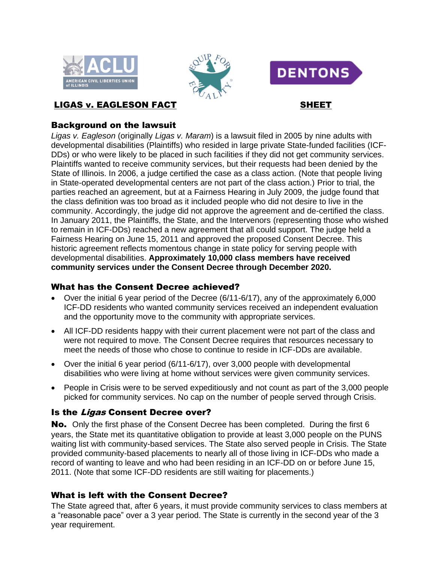





# LIGAS v. EAGLESON FACT SHEET

## Background on the lawsuit

*Ligas v. Eagleson* (originally *Ligas v. Maram*) is a lawsuit filed in 2005 by nine adults with developmental disabilities (Plaintiffs) who resided in large private State-funded facilities (ICF-DDs) or who were likely to be placed in such facilities if they did not get community services. Plaintiffs wanted to receive community services, but their requests had been denied by the State of Illinois. In 2006, a judge certified the case as a class action. (Note that people living in State-operated developmental centers are not part of the class action.) Prior to trial, the parties reached an agreement, but at a Fairness Hearing in July 2009, the judge found that the class definition was too broad as it included people who did not desire to live in the community. Accordingly, the judge did not approve the agreement and de-certified the class. In January 2011, the Plaintiffs, the State, and the Intervenors (representing those who wished to remain in ICF-DDs) reached a new agreement that all could support. The judge held a Fairness Hearing on June 15, 2011 and approved the proposed Consent Decree. This historic agreement reflects momentous change in state policy for serving people with developmental disabilities. **Approximately 10,000 class members have received community services under the Consent Decree through December 2020.**

#### What has the Consent Decree achieved?

- Over the initial 6 year period of the Decree (6/11-6/17), any of the approximately 6,000 ICF-DD residents who wanted community services received an independent evaluation and the opportunity move to the community with appropriate services.
- All ICF-DD residents happy with their current placement were not part of the class and were not required to move. The Consent Decree requires that resources necessary to meet the needs of those who chose to continue to reside in ICF-DDs are available.
- Over the initial 6 year period (6/11-6/17), over 3,000 people with developmental disabilities who were living at home without services were given community services.
- People in Crisis were to be served expeditiously and not count as part of the 3,000 people picked for community services. No cap on the number of people served through Crisis.

## Is the Ligas Consent Decree over?

No. Only the first phase of the Consent Decree has been completed. During the first 6 years, the State met its quantitative obligation to provide at least 3,000 people on the PUNS waiting list with community-based services. The State also served people in Crisis. The State provided community-based placements to nearly all of those living in ICF-DDs who made a record of wanting to leave and who had been residing in an ICF-DD on or before June 15, 2011. (Note that some ICF-DD residents are still waiting for placements.)

## What is left with the Consent Decree?

The State agreed that, after 6 years, it must provide community services to class members at a "reasonable pace" over a 3 year period. The State is currently in the second year of the 3 year requirement.